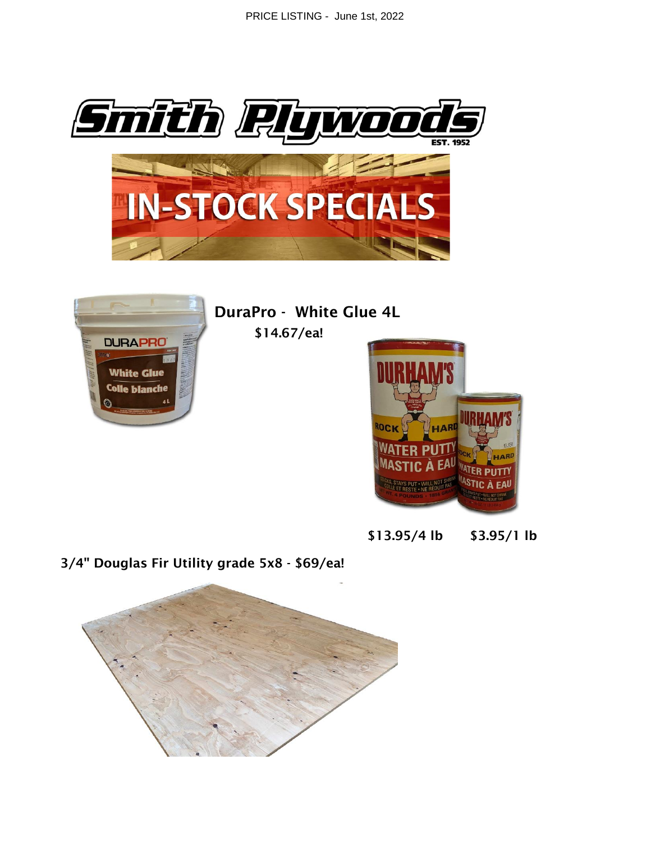PRICE LISTING - June 1st, 2022





**DuraPro - White Glue 4L** 

\$14.67/ea!



 $$13.95/4$  lb  $$3.95/1$  lb

3/4" Douglas Fir Utility grade 5x8 - \$69/ea!

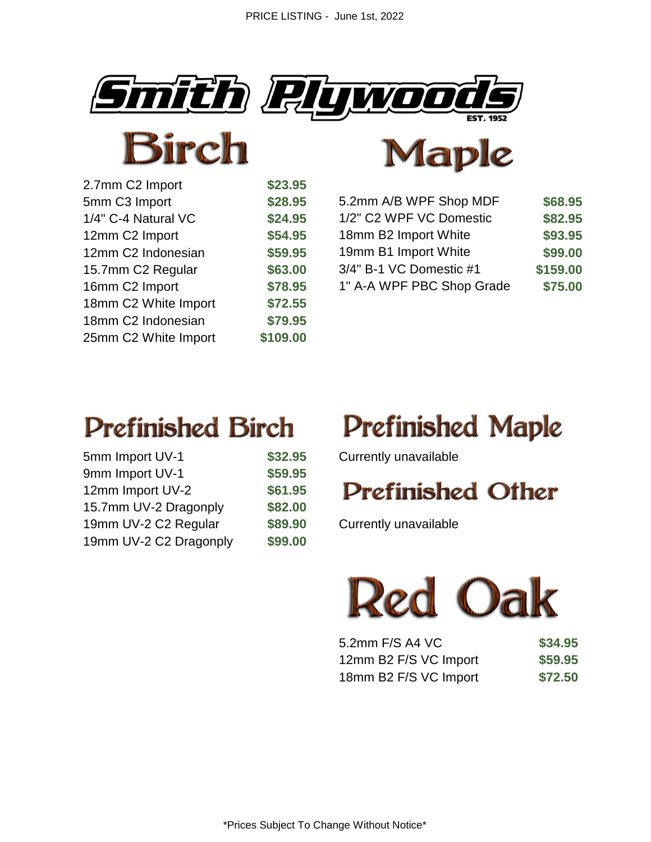



| 2.7mm C2 Import      | \$23.95  |
|----------------------|----------|
| 5mm C3 Import        | \$28.95  |
| 1/4" C-4 Natural VC  | \$24.95  |
| 12mm C2 Import       | \$54.95  |
| 12mm C2 Indonesian   | \$59.95  |
| 15.7mm C2 Regular    | \$63.00  |
| 16mm C2 Import       | \$78.95  |
| 18mm C2 White Import | \$72.55  |
| 18mm C2 Indonesian   | \$79.95  |
| 25mm C2 White Import | \$109.00 |



| 5.2mm A/B WPF Shop MDF<br>\$28.95<br>5mm C3 Import        | \$68.95  |
|-----------------------------------------------------------|----------|
| 1/2" C2 WPF VC Domestic<br>\$24.95<br>1/4" C-4 Natural VC | \$82.95  |
| 18mm B2 Import White<br>\$54.95<br>12mm C2 Import         | \$93.95  |
| 19mm B1 Import White<br>\$59.95<br>12mm C2 Indonesian     | \$99.00  |
| 3/4" B-1 VC Domestic #1<br>\$63.00<br>15.7mm C2 Regular   | \$159.00 |
| 1" A-A WPF PBC Shop Grade<br>\$78.95<br>16mm C2 Import    | \$75.00  |

## **Prefinished Birch**

| 5mm Import UV-1        | \$32.95 |
|------------------------|---------|
| 9mm Import UV-1        | \$59.95 |
| 12mm Import UV-2       | \$61.95 |
| 15.7mm UV-2 Dragonply  | \$82.00 |
| 19mm UV-2 C2 Regular   | \$89.90 |
| 19mm UV-2 C2 Dragonply | \$99.00 |

# **Prefinished Maple**

5 **S** Currently unavailable

### **Prefinished Other**

**19** Currently unavailable



| 5.2mm F/S A4 VC       | \$34.95 |
|-----------------------|---------|
| 12mm B2 F/S VC Import | \$59.95 |
| 18mm B2 F/S VC Import | \$72.50 |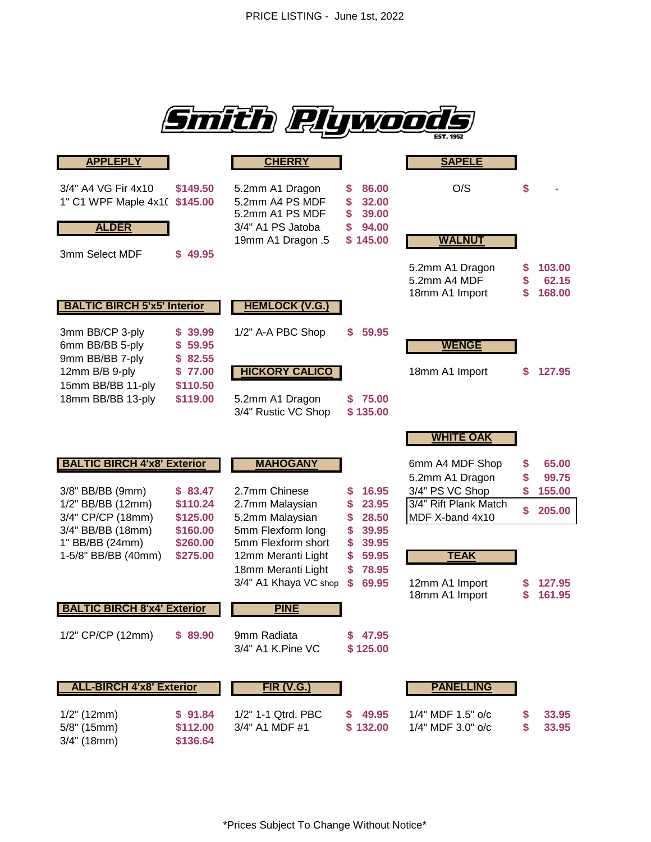

| <b>APPLEPLY</b>                                             |                               | <b>CHERRY</b>                                                                                   |                                                                    | <b>SAPELE</b>                                     |              |                           |
|-------------------------------------------------------------|-------------------------------|-------------------------------------------------------------------------------------------------|--------------------------------------------------------------------|---------------------------------------------------|--------------|---------------------------|
| 3/4" A4 VG Fir 4x10<br>1" C1 WPF Maple 4x10<br><b>ALDER</b> | \$149.50<br>\$145.00          | 5.2mm A1 Dragon<br>5.2mm A4 PS MDF<br>5.2mm A1 PS MDF<br>3/4" A1 PS Jatoba<br>19mm A1 Dragon .5 | 86.00<br>S<br>\$<br>32.00<br>39.00<br>S<br>94.00<br>S.<br>\$145.00 | O/S<br><b>WALNUT</b>                              | \$           |                           |
| 3mm Select MDF                                              | \$49.95                       |                                                                                                 |                                                                    | 5.2mm A1 Dragon<br>5.2mm A4 MDF<br>18mm A1 Import | S<br>\$<br>S | 103.00<br>62.15<br>168.00 |
| <b>BALTIC BIRCH 5'x5' Interior</b>                          |                               | <b>HEMLOCK (V.G.)</b>                                                                           |                                                                    |                                                   |              |                           |
| 3mm BB/CP 3-ply<br>6mm BB/BB 5-ply<br>9mm BB/BB 7-ply       | \$39.99<br>\$59.95<br>\$82.55 | 1/2" A-A PBC Shop                                                                               | 59.95<br>S                                                         | <b>WENGE</b>                                      |              |                           |
| 12mm B/B 9-ply<br>15mm BB/BB 11-ply                         | \$77.00<br>\$110.50           | <b>HICKORY CALICO</b>                                                                           |                                                                    | 18mm A1 Import                                    | S            | 127.95                    |
| 18mm BB/BB 13-ply                                           | \$119.00                      | 5.2mm A1 Dragon<br>3/4" Rustic VC Shop                                                          | 75.00<br>\$135.00                                                  |                                                   |              |                           |
|                                                             |                               |                                                                                                 |                                                                    | <b>WHITE OAK</b>                                  |              |                           |
| <b>BALTIC BIRCH 4'x8' Exterior</b>                          |                               | <b>MAHOGANY</b>                                                                                 |                                                                    | 6mm A4 MDF Shop                                   | \$           | 65.00                     |
| 3/8" BB/BB (9mm)                                            | \$83.47                       | 2.7mm Chinese                                                                                   | 16.95<br>S                                                         | 5.2mm A1 Dragon<br>3/4" PS VC Shop                | S<br>\$      | 99.75<br>155.00           |
| 1/2" BB/BB (12mm)                                           | \$110.24                      | 2.7mm Malaysian                                                                                 | S<br>23.95                                                         | 3/4" Rift Plank Match                             | \$           | 205.00                    |
| 3/4" CP/CP (18mm)                                           | \$125.00                      | 5.2mm Malaysian<br>5mm Flexform long                                                            | 28.50<br>S<br>39.95                                                | MDF X-band 4x10                                   |              |                           |
| 3/4" BB/BB (18mm)<br>1" BB/BB (24mm)                        | \$160.00<br>\$260.00          | 5mm Flexform short                                                                              | \$<br>\$<br>39.95                                                  |                                                   |              |                           |
| 1-5/8" BB/BB (40mm)                                         | \$275.00                      | 12mm Meranti Light                                                                              | \$<br>59.95                                                        | <b>TEAK</b>                                       |              |                           |
|                                                             |                               | 18mm Meranti Light<br>3/4" A1 Khaya VC shop                                                     | 78.95<br>S<br>\$<br>69.95                                          | 12mm A1 Import                                    |              | 127.95                    |
|                                                             |                               |                                                                                                 |                                                                    | 18mm A1 Import                                    | S            | 161.95                    |
| <b>BALTIC BIRCH 8'x4' Exterior</b>                          |                               | <b>PINE</b>                                                                                     |                                                                    |                                                   |              |                           |
| 1/2" CP/CP (12mm)                                           | \$89.90                       | 9mm Radiata<br>3/4" A1 K.Pine VC                                                                | \$47.95<br>\$125.00                                                |                                                   |              |                           |
| <b>ALL-BIRCH 4'x8' Exterior</b>                             |                               | <b>FIR (V.G.)</b>                                                                               |                                                                    | <b>PANELLING</b>                                  |              |                           |
| $1/2$ " (12mm)                                              | \$91.84                       | 1/2" 1-1 Qtrd. PBC                                                                              | 49.95<br>S.                                                        | 1/4" MDF 1.5" o/c                                 |              | 33.95                     |
| 5/8" (15mm)                                                 | \$112.00<br>\$136.64          | 3/4" A1 MDF #1                                                                                  | \$132.00                                                           | 1/4" MDF 3.0" o/c                                 | S            | 33.95                     |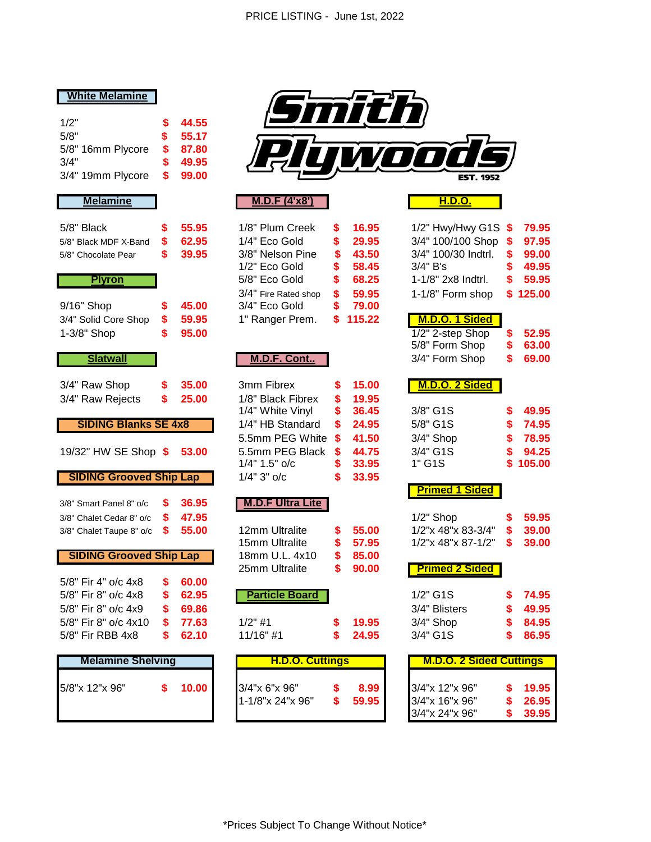#### **White Melamine**

| 1/2"              | S. | 44.55 |
|-------------------|----|-------|
| 5/8"              | S. | 55.17 |
| 5/8" 16mm Plycore | S. | 87.80 |
| 3/4"              | S. | 49.95 |
| 3/4" 19mm Plycore | S. | 99.00 |

| 5/8" Black<br>5/8" Black MDF X-Band<br>5/8" Chocolate Pear<br><b>Plyron</b><br>9/16" Shop<br>3/4" Solid Core Shop<br>1-3/8" Shop<br><b>Slatwall</b> | \$<br>\$<br>\$<br>\$<br>\$<br>\$ | 55.95<br>62.95<br>39.95<br>45.00<br>59.95<br>95.00 | 1/8" Plum Creek<br>1/4" Eco Gold<br>3/8" Nelson Pine<br>1/2" Eco Gold<br>5/8" Eco Gold<br>3/4" Fire Rated shop<br>3/4" Eco Gold<br>1" Ranger Prem.<br><b>M.D.F. Cont</b> | \$<br>\$<br>\$<br>\$<br>\$<br>\$<br>\$<br>S | 16.95<br>29.95<br>43.50<br>58.45<br>68.25<br>59.95<br>79.00<br>115.22 | 1/2" Hwy/Hwy G1S<br>3/4" 100/100 Shop<br>3/4" 100/30 Indtrl.<br>$3/4"$ B's<br>1-1/8" 2x8 Indtrl.<br>1-1/8" Form shop<br>M.D.O. 1 Sided<br>1/2" 2-step Shop<br>5/8" Form Shop<br>3/4" Form Shop | S<br>\$<br>\$<br>\$<br>S<br>\$<br>\$<br>\$ | 79.95<br>97.95<br>99.00<br>49.95<br>59.95<br>125.00<br>52.95<br>63.00<br>69.00 |
|-----------------------------------------------------------------------------------------------------------------------------------------------------|----------------------------------|----------------------------------------------------|--------------------------------------------------------------------------------------------------------------------------------------------------------------------------|---------------------------------------------|-----------------------------------------------------------------------|------------------------------------------------------------------------------------------------------------------------------------------------------------------------------------------------|--------------------------------------------|--------------------------------------------------------------------------------|
| 3/4" Raw Shop<br>3/4" Raw Rejects<br><b>SIDING Blanks SE 4x8</b>                                                                                    | \$<br>\$                         | 35.00<br>25.00                                     | 3mm Fibrex<br>1/8" Black Fibrex<br>1/4" White Vinyl<br>1/4" HB Standard                                                                                                  | \$<br>\$<br>\$<br>\$                        | 15.00<br>19.95<br>36.45<br>24.95                                      | M.D.O. 2 Sided<br>3/8" G1S<br>5/8" G1S                                                                                                                                                         | \$<br>\$                                   | 49.95<br>74.95                                                                 |
| 19/32" HW SE Shop \$                                                                                                                                |                                  | 53.00                                              | 5.5mm PEG White<br>5.5mm PEG Black<br>1/4" 1.5" o/c                                                                                                                      | \$<br>\$<br>\$                              | 41.50<br>44.75<br>33.95                                               | 3/4" Shop<br>3/4" G1S<br>1" G1S                                                                                                                                                                | \$<br>\$                                   | 78.95<br>94.25<br>105.00                                                       |
| <b>SIDING Grooved Ship Lap</b><br>3/8" Smart Panel 8" o/c<br>3/8" Chalet Cedar 8" o/c<br>3/8" Chalet Taupe 8" o/c                                   | \$<br>\$<br>S                    | 36.95<br>47.95<br>55.00                            | $1/4" 3"$ o/c<br><b>M.D.F Ultra Lite</b><br>12mm Ultralite                                                                                                               | \$<br>\$                                    | 33.95<br>55.00                                                        | <b>Primed 1 Sided</b><br>$1/2$ " Shop<br>1/2"x 48"x 83-3/4"                                                                                                                                    | \$<br>\$                                   | 59.95<br>39.00                                                                 |
| <b>SIDING Grooved Ship Lap</b><br>5/8" Fir 4" o/c 4x8<br>5/8" Fir 8" o/c 4x8                                                                        | \$                               | 60.00<br>62.95                                     | 15mm Ultralite<br>18mm U.L. 4x10<br>25mm Ultralite                                                                                                                       | \$<br>\$<br>\$                              | 57.95<br>85.00<br>90.00                                               | 1/2"x 48"x 87-1/2"<br><b>Primed 2 Sided</b><br>1/2" G1S                                                                                                                                        | S                                          | 39.00<br>74.95                                                                 |
| 5/8" Fir 8" o/c 4x9<br>5/8" Fir 8" o/c 4x10<br>5/8" Fir RBB 4x8                                                                                     | \$<br>\$<br>\$<br>\$             | 69.86<br>77.63<br>62.10                            | <b>Particle Board</b><br>$1/2$ " #1<br>11/16" #1                                                                                                                         | \$<br>\$                                    | 19.95<br>24.95                                                        | 3/4" Blisters<br>3/4" Shop<br>3/4" G1S                                                                                                                                                         | \$<br>\$<br>\$<br>\$                       | 49.95<br>84.95<br>86.95                                                        |
| <b>Melamine Shelving</b>                                                                                                                            |                                  |                                                    | <b>H.D.O. Cuttings</b>                                                                                                                                                   |                                             |                                                                       | <b>M.D.O. 2 Sided Cuttings</b>                                                                                                                                                                 |                                            |                                                                                |
| 5/8"x 12"x 96"                                                                                                                                      | \$                               | 10.00                                              | 3/4"x 6"x 96"<br>$4.40\%$ $0.4\%$ $0.00$                                                                                                                                 | \$                                          | 8.99<br>$P^{\prime}$ $P^{\prime}$ $\Omega$                            | 3/4"x 12"x 96"<br>$0/4$ . $40$ . $00$                                                                                                                                                          | \$<br>$\triangle$                          | 19.95<br>0000                                                                  |



#### **Melamine M.D.F (4'x8') H.D.O.**

| 1/8" Plum Creek      | S  | 16.9    |
|----------------------|----|---------|
| 1/4" Eco Gold        | \$ | 29.9    |
| 3/8" Nelson Pine     | \$ | 43.     |
| 1/2" Eco Gold        | \$ | 58.4    |
| 5/8" Eco Gold        | \$ | 68.2    |
| 3/4" Fire Rated shop | \$ | 59.9    |
| 3/4" Eco Gold        | \$ | 79.0    |
| 1" Ranger Prem.      |    | \$115.2 |
|                      |    |         |

#### <u>**M.D.F. Cont..**</u>

| 3mm Fibrex        | \$<br>15.0 |
|-------------------|------------|
| 1/8" Black Fibrex | \$<br>19.9 |
| 1/4" White Vinyl  | \$<br>36.4 |
| 1/4" HB Standard  | \$<br>24.9 |
| 5.5mm PEG White   | \$<br>41.5 |
| 5.5mm PEG Black   | \$<br>44.7 |
| 1/4" 1.5" o/c     | \$<br>33.9 |
| $1/4" 3"$ o/c     | \$<br>33.9 |
|                   |            |

#### **319.8 M.D.F Ultra Lite**

| 12mm Ultralite<br>15mm Ultralite | S.<br>S. | 55.0<br>57.9 |
|----------------------------------|----------|--------------|
| 18mm U.L. 4x10                   | S.       | 85.0         |
| 25mm Ultralite                   | S.       | -90.0        |

#### **Particle Board**

| $1/2"$ #1   | \$ 19.9 |
|-------------|---------|
| $11/16"$ #1 | \$24.9  |

| <b>Melamine Shelving</b> |  | <b>H.D.O. Cuttings</b> |                  |  | <b>M.D.O. 2 Sided Cuttings</b> |                |  |       |
|--------------------------|--|------------------------|------------------|--|--------------------------------|----------------|--|-------|
| 5/8"x 12"x 96"           |  | 10.00                  | 3/4"x 6"x 96"    |  | 8.99                           | 3/4"x 12"x 96" |  | 19.95 |
|                          |  |                        | 1-1/8"x 24"x 96" |  | 59.95                          | 3/4"x 16"x 96" |  | 26.95 |
|                          |  |                        |                  |  |                                | 3/4"x 24"x 96" |  | 39.95 |

| ack           | S | 55.95 | 1/8" Plum Creek      | S | 16.95    | $1/2$ " Hwy/Hwy G1S $$$ |    | 79.95    |
|---------------|---|-------|----------------------|---|----------|-------------------------|----|----------|
| ck MDF X-Band | S | 62.95 | $1/4"$ Eco Gold      | S | 29.95    | $3/4$ " 100/100 Shop \$ |    | 97.95    |
| colate Pear   | S | 39.95 | 3/8" Nelson Pine     | S | 43.50    | 3/4" 100/30 Indtrl.     | S  | 99.00    |
|               |   |       | $1/2"$ Eco Gold      | S | 58.45    | $3/4"$ B's              | S  | 49.95    |
| <b>Plyron</b> |   |       | 5/8" Eco Gold        | S | 68.25    | 1-1/8" 2x8 Indtrl.      | S. | 59.95    |
|               |   |       | 3/4" Fire Rated shop | S | 59.95    | 1-1/8" Form shop        |    | \$125.00 |
| shop          | S | 45.00 | 3/4" Eco Gold        | S | 79.00    |                         |    |          |
| lid Core Shop | S | 59.95 | 1" Ranger Prem.      |   | \$115.22 | M.D.O. 1 Sided          |    |          |
| Shop          | S | 95.00 |                      |   |          | $1/2$ " 2-step Shop     | S  | 52.95    |
|               |   |       |                      |   |          | 5/8" Form Shop          | \$ | 63.00    |
| Slatwall      |   |       | M.D.F. Cont          |   |          | 3/4" Form Shop          | \$ | 69.00    |
|               |   |       |                      |   |          |                         |    |          |

#### 3/4" Raw Shop **\$ 35.00** 3mm Fibrex **\$ 15.00 M.D.O. 2 Sided**

| 170 DIACK FIDIEX               | <b>P</b> 19.99 |           |          |
|--------------------------------|----------------|-----------|----------|
| 1/4" White Vinyl               | \$36.45        | 3/8" G1S  | \$49.95  |
| 1/4" HB Standard \$ 24.95      |                | 5/8" G1S  | \$74.95  |
| 5.5mm PEG White \$41.50        |                | 3/4" Shop | \$78.95  |
| 5.5mm PEG Black <b>\$44.75</b> |                | 3/4" G1S  | \$94.25  |
| 1/4" 1.5" o/c                  | \$33.95        | 1" G1S    | \$105.00 |
|                                |                |           |          |

#### **Primed 1 Sided**

|                |         | $1/2$ " Shop                   | $\frac{1}{2}$ 59.95 |
|----------------|---------|--------------------------------|---------------------|
| 12mm Ultralite | \$55.00 | $1/2$ "x 48"x 83-3/4" \$ 39.00 |                     |
| 15mm Ultralite | \$57.95 | $1/2$ "x 48"x 87-1/2" \$ 39.00 |                     |

#### **25 Mag Primed 2 Sided**

| $1/2"$ G1S    | \$74.95             |
|---------------|---------------------|
| 3/4" Blisters | $\frac{1}{2}$ 49.95 |
| $3/4"$ Shop   | $\frac{1}{2}$ 84.95 |
| $3/4"$ G1S    | \$86.95             |

| <b>M.D.O. 2 Sided Cuttings</b> |    |       |  |  |  |  |  |  |  |
|--------------------------------|----|-------|--|--|--|--|--|--|--|
|                                |    |       |  |  |  |  |  |  |  |
| 3/4"x 12"x 96"                 | S. | 19.95 |  |  |  |  |  |  |  |
| 3/4"x 16"x 96"                 | S  | 26.95 |  |  |  |  |  |  |  |
| 3/4"x 24"x 96"                 | \$ | 39.95 |  |  |  |  |  |  |  |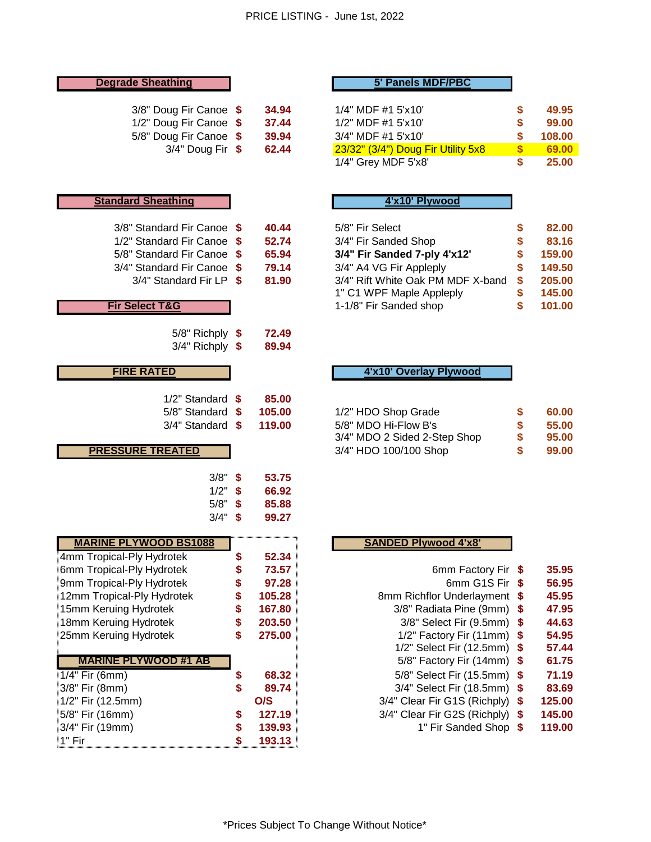| <b>Degrade Sheathing</b>                                                                                                                                                                     |                                        |                                                                 | 5' Panels MDF/PBC                                                                                                                                                        |                                         |                                                             |
|----------------------------------------------------------------------------------------------------------------------------------------------------------------------------------------------|----------------------------------------|-----------------------------------------------------------------|--------------------------------------------------------------------------------------------------------------------------------------------------------------------------|-----------------------------------------|-------------------------------------------------------------|
| 3/8" Doug Fir Canoe \$<br>1/2" Doug Fir Canoe \$<br>5/8" Doug Fir Canoe \$<br>$3/4"$ Doug Fir \$                                                                                             |                                        | 34.94<br>37.44<br>39.94<br>62.44                                | 1/4" MDF #1 5'x10'<br>1/2" MDF #1 5'x10'<br>3/4" MDF #1 5'x10'<br>23/32" (3/4") Doug Fir Utility 5x8<br>1/4" Grey MDF 5'x8'                                              | \$<br>\$<br>\$<br>\$<br>\$              | 49.95<br>99.00<br>108.00<br>69.00<br>25.00                  |
| <b>Standard Sheathing</b>                                                                                                                                                                    |                                        |                                                                 | 4'x10' Plywood                                                                                                                                                           |                                         |                                                             |
| 3/8" Standard Fir Canoe \$<br>1/2" Standard Fir Canoe \$<br>5/8" Standard Fir Canoe \$<br>3/4" Standard Fir Canoe \$<br>3/4" Standard Fir LP \$                                              |                                        | 40.44<br>52.74<br>65.94<br>79.14<br>81.90                       | 5/8" Fir Select<br>3/4" Fir Sanded Shop<br>3/4" Fir Sanded 7-ply 4'x12'<br>3/4" A4 VG Fir Appleply<br>3/4" Rift White Oak PM MDF X-band<br>1" C1 WPF Maple Appleply      | \$<br>\$<br>\$<br>\$<br>\$              | 82.00<br>83.16<br>159.00<br>149.50<br>205.00<br>145.00      |
| <b>Fir Select T&amp;G</b>                                                                                                                                                                    |                                        |                                                                 | 1-1/8" Fir Sanded shop                                                                                                                                                   | \$                                      | 101.00                                                      |
| $5/8$ " Richply $$$<br>$3/4$ " Richply \$                                                                                                                                                    |                                        | 72.49<br>89.94                                                  |                                                                                                                                                                          |                                         |                                                             |
| <b>FIRE RATED</b>                                                                                                                                                                            |                                        |                                                                 | 4'x10' Overlay Plywood                                                                                                                                                   |                                         |                                                             |
| 1/2" Standard \$<br>5/8" Standard \$<br>$3/4$ " Standard \$<br><b>PRESSURE TREATED</b>                                                                                                       |                                        | 85.00<br>105.00<br>119.00                                       | 1/2" HDO Shop Grade<br>5/8" MDO Hi-Flow B's<br>3/4" MDO 2 Sided 2-Step Shop<br>3/4" HDO 100/100 Shop                                                                     | \$<br>\$<br>\$<br>\$                    | 60.00<br>55.00<br>95.00<br>99.00                            |
| 3/8"<br>1/2"<br>5/8"<br>3/4"                                                                                                                                                                 | \$<br>\$<br>\$<br>\$                   | 53.75<br>66.92<br>85.88<br>99.27                                |                                                                                                                                                                          |                                         |                                                             |
| <b>MARINE PLYWOOD BS1088</b>                                                                                                                                                                 |                                        |                                                                 | <b>SANDED Plywood 4'x8'</b>                                                                                                                                              |                                         |                                                             |
| 4mm Tropical-Ply Hydrotek<br>6mm Tropical-Ply Hydrotek<br>9mm Tropical-Ply Hydrotek<br>12mm Tropical-Ply Hydrotek<br>15mm Keruing Hydrotek<br>18mm Keruing Hydrotek<br>25mm Keruing Hydrotek | \$<br>\$<br>\$<br>\$<br>\$<br>\$<br>\$ | 52.34<br>73.57<br>97.28<br>105.28<br>167.80<br>203.50<br>275.00 | 6mm Factory Fir<br>6mm G1S Fir<br>8mm Richflor Underlayment<br>3/8" Radiata Pine (9mm)<br>3/8" Select Fir (9.5mm)<br>1/2" Factory Fir (11mm)<br>1/2" Select Fir (12.5mm) | -\$<br>\$<br>\$<br>\$<br>\$<br>\$<br>\$ | 35.95<br>56.95<br>45.95<br>47.95<br>44.63<br>54.95<br>57.44 |
| <b>MARINE PLYWOOD #1 AB</b>                                                                                                                                                                  |                                        |                                                                 | 5/8" Factory Fir (14mm)                                                                                                                                                  | \$                                      | 61.75                                                       |
| 1/4" Fir (6mm)<br>3/8" Fir (8mm)<br>1/2" Fir (12.5mm)                                                                                                                                        | \$<br>\$                               | 68.32<br>89.74<br>O/S                                           | 5/8" Select Fir (15.5mm)<br>3/4" Select Fir (18.5mm)<br>3/4" Clear Fir G1S (Richply)                                                                                     | \$<br>\$<br>\$                          | 71.19<br>83.69<br>125.00                                    |
| 5/8" Fir (16mm)<br>3/4" Fir (19mm)<br>1" Fir                                                                                                                                                 | \$<br>\$<br>\$                         | 127.19<br>139.93<br>193.13                                      | 3/4" Clear Fir G2S (Richply)<br>1" Fir Sanded Shop                                                                                                                       | \$<br>-\$                               | 145.00<br>119.00                                            |

#### **Degrade Sheathing 5' Panels MDF/PBC**

| 3/8" Doug Fir Canoe \$ | 34.94 | 1/4" MDF #1 5'x10'                 | 49.95  |
|------------------------|-------|------------------------------------|--------|
| 1/2" Doug Fir Canoe \$ | 37.44 | $1/2$ " MDF #1 5'x10'              | 99.00  |
| 5/8" Doug Fir Canoe \$ | 39.94 | 3/4" MDF #1 5'x10'                 | 108.00 |
| $3/4"$ Doug Fir $$$    | 62.44 | 23/32" (3/4") Doug Fir Utility 5x8 | 69.00  |
|                        |       | 1/4" Grey MDF 5'x8'                | 25.00  |

### **Standard Sheathing 4'x10' Plywood**

| 3/8" Standard Fir Canoe \$  | 40.44 | 5/8" Fir Select                   | 82.00  |
|-----------------------------|-------|-----------------------------------|--------|
| 1/2" Standard Fir Canoe \$  | 52.74 | 3/4" Fir Sanded Shop              | 83.16  |
| 5/8" Standard Fir Canoe \$  | 65.94 | 3/4" Fir Sanded 7-ply 4'x12'      | 159.00 |
| 3/4" Standard Fir Canoe \$  | 79.14 | 3/4" A4 VG Fir Appleply           | 149.50 |
| $3/4$ " Standard Fir LP $$$ | 81.90 | 3/4" Rift White Oak PM MDF X-band | 205.00 |
|                             |       | 1" C1 WPF Maple Appleply          | 145.00 |
| <b>Fir Select T&amp;G</b>   |       | 1-1/8" Fir Sanded shop            | 101.00 |

#### **FIRE RATED 4'x10' Overlay Plywood**

| 5/8" Standard \$        | 105.00 | 1/2" HDO Shop Grade          | 60.00 |
|-------------------------|--------|------------------------------|-------|
| 3/4" Standard \$ 119.00 |        | 5/8" MDO Hi-Flow B's         | 55.00 |
|                         |        | 3/4" MDO 2 Sided 2-Step Shop | 95.00 |
| <b>PRESSURE TREATED</b> |        | 3/4" HDO 100/100 Shop        | 99.00 |

#### **SANDED Plywood 4'x8'**

| 6mm Factory Fir              | \$ | 35.95  |
|------------------------------|----|--------|
| 6mm G1S Fir                  | \$ | 56.95  |
| 8mm Richflor Underlayment    | \$ | 45.95  |
| 3/8" Radiata Pine (9mm)      | \$ | 47.95  |
| 3/8" Select Fir (9.5mm)      | \$ | 44.63  |
| 1/2" Factory Fir (11mm)      | \$ | 54.95  |
| 1/2" Select Fir (12.5mm)     | S  | 57.44  |
| 5/8" Factory Fir (14mm)      | S  | 61.75  |
| 5/8" Select Fir (15.5mm)     | \$ | 71.19  |
| 3/4" Select Fir (18.5mm)     | \$ | 83.69  |
| 3/4" Clear Fir G1S (Richply) | \$ | 125.00 |
| 3/4" Clear Fir G2S (Richply) | \$ | 145.00 |
| 1" Fir Sanded Shop           | S  | 119.00 |